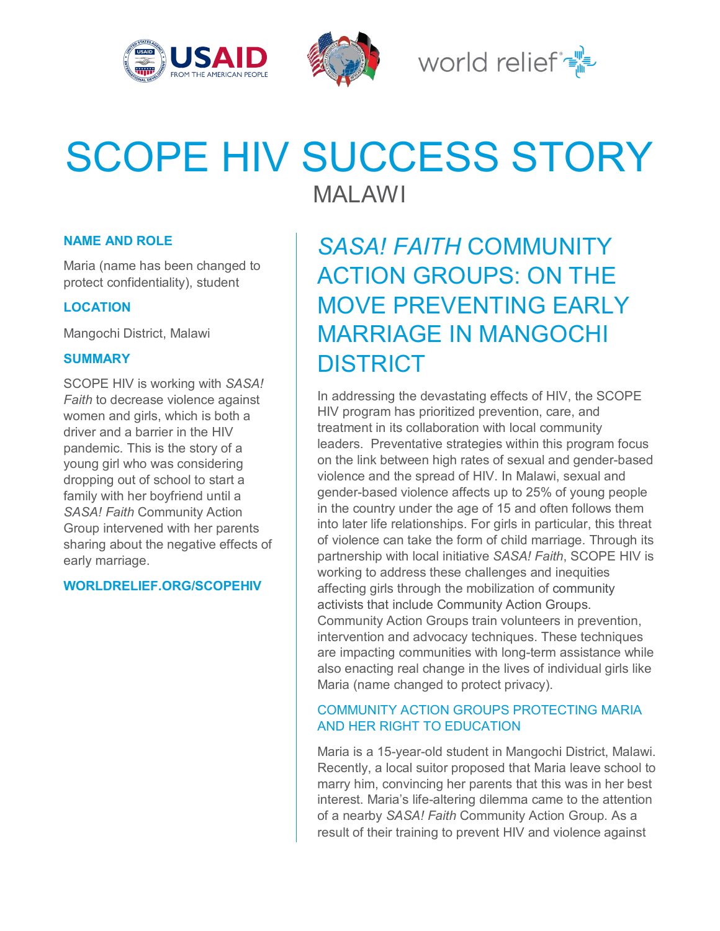



World relief  $\mathbb{R}^{\mathbb{N}}$ 

# SCOPE HIV SUCCESS STORY

MALAWI

# **NAME AND ROLE**

Maria (name has been changed to protect confidentiality), student

# **LOCATION**

Mangochi District, Malawi

## **SUMMARY**

SCOPE HIV is working with *SASA! Faith* to decrease violence against women and girls, which is both a driver and a barrier in the HIV pandemic. This is the story of a young girl who was considering dropping out of school to start a family with her boyfriend until a *SASA! Faith* Community Action Group intervened with her parents sharing about the negative effects of early marriage.

#### **WORLDRELIEF.ORG/SCOPEHIV**

# *SASA! FAITH* COMMUNITY ACTION GROUPS: ON THE MOVE PREVENTING EARLY MARRIAGE IN MANGOCHI DISTRICT

In addressing the devastating effects of HIV, the SCOPE HIV program has prioritized prevention, care, and treatment in its collaboration with local community leaders. Preventative strategies within this program focus on the link between high rates of sexual and gender-based violence and the spread of HIV. In Malawi, sexual and gender-based violence affects up to 25% of young people in the country under the age of 15 and often follows them into later life relationships. For girls in particular, this threat of violence can take the form of child marriage. Through its partnership with local initiative *SASA! Faith*, SCOPE HIV is working to address these challenges and inequities affecting girls through the mobilization of community activists that include Community Action Groups. Community Action Groups train volunteers in prevention, intervention and advocacy techniques. These techniques are impacting communities with long-term assistance while also enacting real change in the lives of individual girls like Maria (name changed to protect privacy).

# COMMUNITY ACTION GROUPS PROTECTING MARIA AND HER RIGHT TO EDUCATION

Maria is a 15-year-old student in Mangochi District, Malawi. Recently, a local suitor proposed that Maria leave school to marry him, convincing her parents that this was in her best interest. Maria's life-altering dilemma came to the attention of a nearby *SASA! Faith* Community Action Group. As a result of their training to prevent HIV and violence against